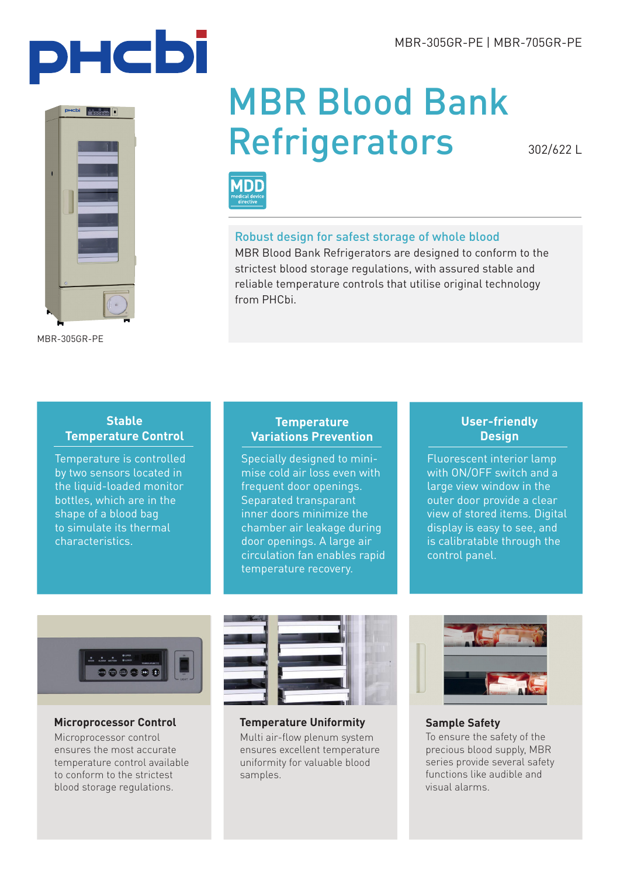



MBR-305GR-PE

# MBR Blood Bank **Refrigerators**

302/622 L



# Robust design for safest storage of whole blood

MBR Blood Bank Refrigerators are designed to conform to the strictest blood storage regulations, with assured stable and reliable temperature controls that utilise original technology from PHCbi.

# **Stable Temperature Control**

Temperature is controlled by two sensors located in the liquid-loaded monitor bottles, which are in the shape of a blood bag to simulate its thermal characteristics.

# **Temperature Variations Prevention**

Specially designed to minimise cold air loss even with frequent door openings. Separated transparant inner doors minimize the chamber air leakage during door openings. A large air circulation fan enables rapid temperature recovery.

# **User-friendly Design**

Fluorescent interior lamp with ON/OFF switch and a large view window in the outer door provide a clear view of stored items. Digital display is easy to see, and is calibratable through the control panel.



## **Microprocessor Control**

Microprocessor control ensures the most accurate temperature control available to conform to the strictest blood storage regulations.



**Temperature Uniformity** Multi air-flow plenum system ensures excellent temperature uniformity for valuable blood samples.



**Sample Safety** To ensure the safety of the precious blood supply, MBR series provide several safety functions like audible and visual alarms.